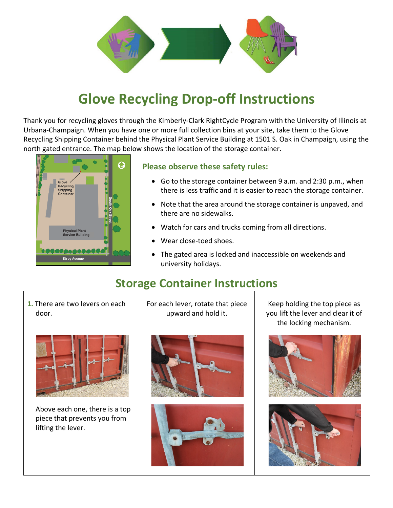

## **Glove Recycling Drop-off Instructions**

Thank you for recycling gloves through the Kimberly-Clark RightCycle Program with the University of Illinois at Urbana-Champaign. When you have one or more full collection bins at your site, take them to the Glove Recycling Shipping Container behind the Physical Plant Service Building at 1501 S. Oak in Champaign, using the north gated entrance. The map below shows the location of the storage container.



## **Please observe these safety rules:**

- Go to the storage container between 9 a.m. and 2:30 p.m., when there is less traffic and it is easier to reach the storage container.
- Note that the area around the storage container is unpaved, and there are no sidewalks.
- Watch for cars and trucks coming from all directions.
- Wear close-toed shoes.
- The gated area is locked and inaccessible on weekends and university holidays.

## **Storage Container Instructions**

**1.** There are two levers on each door.



Above each one, there is a top piece that prevents you from lifting the lever.

For each lever, rotate that piece upward and hold it.





Keep holding the top piece as you lift the lever and clear it of the locking mechanism.